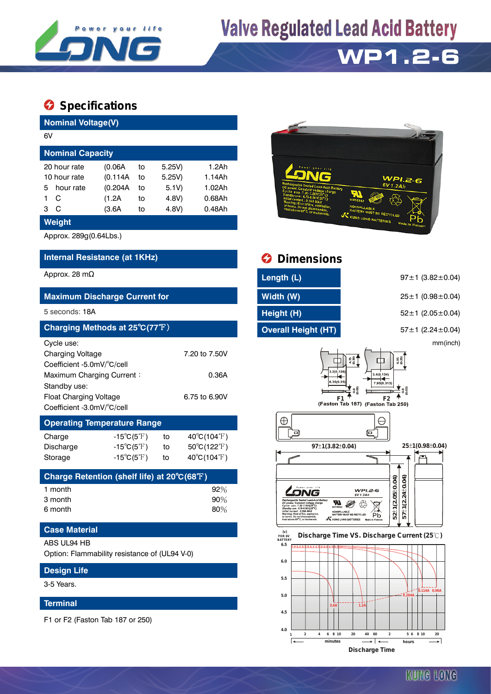

## **Valve Regulated Lead Acid Battery**

## **WP1.2-6**

### $\bullet$  Specifications

| <b>Nominal Voltage(V)</b>                                                |                                    |               |        |                                  |  |  |  |  |
|--------------------------------------------------------------------------|------------------------------------|---------------|--------|----------------------------------|--|--|--|--|
| 6V                                                                       |                                    |               |        |                                  |  |  |  |  |
| <b>Nominal Capacity</b>                                                  |                                    |               |        |                                  |  |  |  |  |
| 20 hour rate                                                             | (0.06A)                            | 5.25V         | 1.2Ah  |                                  |  |  |  |  |
| 10 hour rate                                                             | (0.114A)                           | 5.25V)        | 1.14Ah |                                  |  |  |  |  |
| hour rate<br>5                                                           | (0.204A)                           | 5.1V)         | 1.02Ah |                                  |  |  |  |  |
| С<br>1                                                                   | (1.2A)                             | to            | 4.8V)  | $0.68$ Ah                        |  |  |  |  |
| C<br>3                                                                   | (3.6A)                             | to            | 4.8V)  | 0.48Ah                           |  |  |  |  |
| <b>Weight</b>                                                            |                                    |               |        |                                  |  |  |  |  |
| Approx. 289g(0.64Lbs.)                                                   |                                    |               |        |                                  |  |  |  |  |
| Internal Resistance (at 1KHz)                                            |                                    |               |        |                                  |  |  |  |  |
| Approx. 28 m $\Omega$                                                    |                                    |               |        |                                  |  |  |  |  |
|                                                                          |                                    |               |        |                                  |  |  |  |  |
| <b>Maximum Discharge Current for</b>                                     |                                    |               |        |                                  |  |  |  |  |
| 5 seconds: 18A                                                           |                                    |               |        |                                  |  |  |  |  |
| Charging Methods at 25°C(77°F)                                           |                                    |               |        |                                  |  |  |  |  |
| Cycle use:                                                               |                                    |               |        |                                  |  |  |  |  |
| <b>Charging Voltage</b>                                                  |                                    | 7.20 to 7.50V |        |                                  |  |  |  |  |
| Coefficient -5.0mV/°C/cell                                               |                                    |               |        |                                  |  |  |  |  |
|                                                                          | Maximum Charging Current:<br>0.36A |               |        |                                  |  |  |  |  |
| Standby use:                                                             |                                    |               |        |                                  |  |  |  |  |
| <b>Float Charging Voltage</b><br>6.75 to 6.90V                           |                                    |               |        |                                  |  |  |  |  |
| Coefficient -3.0mV/°C/cell                                               |                                    |               |        |                                  |  |  |  |  |
| <b>Operating Temperature Range</b>                                       |                                    |               |        |                                  |  |  |  |  |
| Charge                                                                   | $-15^{\circ}C(5^{\circ}F)$         |               | to     | $40^{\circ}C(104^{\circ}F)$      |  |  |  |  |
| Discharge                                                                | -15 $^{\circ}$ C(5 $^{\circ}$ F)   |               | to     | $50^{\circ}$ C(122 $^{\circ}$ F) |  |  |  |  |
| Storage                                                                  | $-15^{\circ}C(5^{\circ}F)$         |               | to     | $40^{\circ}C(104^{\circ}F)$      |  |  |  |  |
| Charge Retention (shelf life) at 20 $\mathrm{^{^\circ}\!C(68 ^\circ F)}$ |                                    |               |        |                                  |  |  |  |  |
| 1 month                                                                  |                                    |               |        | 92%                              |  |  |  |  |
| 3 month                                                                  |                                    |               |        | 90%                              |  |  |  |  |
| 6 month                                                                  |                                    |               |        | 80%                              |  |  |  |  |
| <b>Case Material</b>                                                     |                                    |               |        |                                  |  |  |  |  |
| ABS UL94 HB                                                              |                                    |               |        |                                  |  |  |  |  |
| Option: Flammability resistance of (UL94 V-0)                            |                                    |               |        |                                  |  |  |  |  |



### *<u>Dimensions</u>*

| Length (L)                 |  |
|----------------------------|--|
| Width (W)                  |  |
| Height (H)                 |  |
| <b>Overall Height (HT)</b> |  |

97±1 (3.82±0.04) **Maximum Discharge Current for Width (W)** 25±1 (0.98±0.04)

5 2 ± 1 (2.05 ± 0.04)

**Charging Methods at 25**℃**(77**℉) **Overall Height (HT)** 57±1 (2.24±0.04)

mm(inch)





#### **FOR 6V BATTERY Discharge Time VS. Discharge Current (25 ℃)**



**Design Life**

3-5 Years.

#### **Terminal**

F1 or F2 (Faston Tab 187 or 250)

KUNG LONG